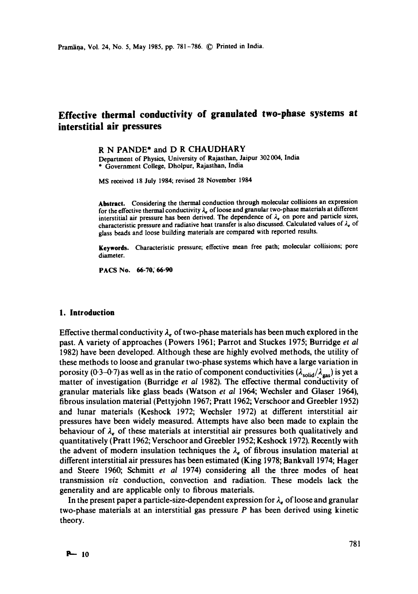# **Effective thermal conductivity of granulated two-phase systems at interstitial air pressures**

R N PANDE\* and D R CHAUDHARY

Department of Physics, University of Rajasthan, Jaipur 302004, India \* Government College, Dholpur, Rajasthan, India

MS received 18 July 1984; revised 28 November 1984

**Abstract.** Considering the thermal conduction through molecular collisions an expression for the effective thermal conductivity  $\lambda_e$  of loose and granular two-phase materials at different interstitial air pressure has been derived. The dependence of  $\lambda_e$  on pore and particle sizes, characteristic pressure and radiative heat transfer is also discussed. Calculated values of  $\lambda_e$  of glass beads and loose building materials are compared with reported results.

**Keywords.** Characteristic pressure; effective mean free path; molecular collisions; pore diameter.

**PACS No. 66.70; 66.90** 

## **1. Introduction**

Effective thermal conductivity  $\lambda_e$  of two-phase materials has been much explored in the past. A variety of approaches (Powers 1961; Parrot and Stuckes 1975; Burridge *et al*  1982) have been developed. Although these are highly evolved methods, the utility of these methods to loose and granular two-phase systems which have a large variation in porosity (0.3-0.7) as well as in the ratio of component conductivities  $(\lambda_{solid}/\lambda_{gas})$  is yet a matter of investigation (Burridge *et al* 1982). The effective thermal conductivity of granular materials like glass beads (Watson *et al* 1964; Wechsler and Glaser 1964), fibrous insulation material (Pettyjohn 1967; Pratt 1962; Verschoor and Greebler 1952) and lunar materials (Keshock 1972; Wechsler 1972) at different interstitial air pressures have been widely measured. Attempts have also been made to explain the behaviour of  $\lambda_e$  of these materials at interstitial air pressures both qualitatively and quantitatively (Pratt 1962; Verschoor and Greebler 1952; Keshock 1972). Recently with the advent of modern insulation techniques the  $\lambda_e$  of fibrous insulation material at different interstitial air pressures has been estimated (King 1978; Bankvall 1974; Hager and Steere 1960; Schmitt *et al* 1974) considering all the three modes of heat transmission *viz* conduction, convection and radiation. These models lack the generality and are applicable only to fibrous materials.

In the present paper a particle-size-dependent expression for  $\lambda_e$  of loose and granular two-phase materials at an interstitial gas pressure P has been derived using kinetic theory.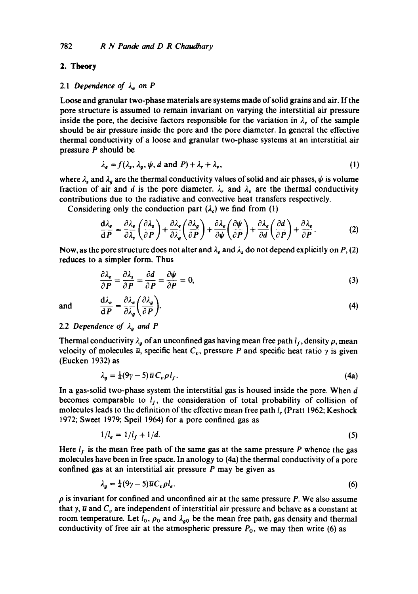## 2. Theory

#### 2.1 Dependence of  $\lambda_e$  on P

Loose and granular two-phase materials are systems made of solid grains and air. If the pore structure is assumed to remain invariant on varying the interstitial air pressure inside the pore, the decisive factors responsible for the variation in  $\lambda_e$  of the sample should be air pressure inside the pore and the pore diameter. In general the effective thermal conductivity of a loose and granular two-phase systems at an interstitial air pressure P should be

$$
\lambda_e = f(\lambda_s, \lambda_g, \psi, d \text{ and } P) + \lambda_r + \lambda_v, \tag{1}
$$

where  $\lambda_s$  and  $\lambda_g$  are the thermal conductivity values of solid and air phases,  $\psi$  is volume fraction of air and d is the pore diameter.  $\lambda_r$  and  $\lambda_v$  are the thermal conductivity contributions due to the radiative and convective heat transfers respectively.

Considering only the conduction part  $(\lambda)$  we find from (1)

$$
\frac{d\lambda_e}{dP} = \frac{\partial \lambda_e}{\partial \lambda_s} \left( \frac{\partial \lambda_s}{\partial P} \right) + \frac{\partial \lambda_e}{\partial \lambda_g} \left( \frac{\partial \lambda_g}{\partial P} \right) + \frac{\partial \lambda_e}{\partial \psi} \left( \frac{\partial \psi}{\partial P} \right) + \frac{\partial \lambda_e}{\partial d} \left( \frac{\partial d}{\partial P} \right) + \frac{\partial \lambda_e}{\partial P}.
$$
 (2)

Now, as the pore structure does not alter and  $\lambda_e$  and  $\lambda_x$  do not depend explicitly on P, (2) reduces to a simpler form. Thus

$$
\frac{\partial \lambda_e}{\partial P} = \frac{\partial \lambda_s}{\partial P} = \frac{\partial d}{\partial P} = \frac{\partial \psi}{\partial P} = 0,
$$
\n(3)

and 
$$
\frac{d\lambda_e}{dP} = \frac{\partial \lambda_e}{\partial \lambda_g} \left( \frac{\partial \lambda_g}{\partial P} \right).
$$
 (4)

# 2.2 Dependence of  $\lambda_q$  and P

Thermal conductivity  $\lambda_{g}$  of an unconfined gas having mean free path  $l_{f}$ , density  $\rho$ , mean velocity of molecules  $\bar{u}$ , specific heat  $C_v$ , pressure P and specific heat ratio  $\gamma$  is given (Eucken 1932) as

$$
\lambda_g = \frac{1}{4}(9\gamma - 5)\,\overline{u}\,C_v\rho\,l_f. \tag{4a}
$$

In a gas-solid two-phase system the interstitial gas is housed inside the pore. When d becomes comparable to  $l_f$ , the consideration of total probability of collision of molecules leads to the definition of the effective mean free path  $l_e$  (Pratt 1962; Keshock 1972; Sweet 1979; Speil 1964) for a pore confined gas as

$$
1/l_e = 1/l_f + 1/d. \tag{5}
$$

Here  $l_f$  is the mean free path of the same gas at the same pressure P whence the gas molecules have been in free space. In anology to (4a) the thermal conductivity of a pore confined gas at an interstitial air pressure P may be given as

$$
\lambda_g = \frac{1}{4}(9\gamma - 5)\overline{u}C_v\rho l_e. \tag{6}
$$

 $\rho$  is invariant for confined and unconfined air at the same pressure P. We also assume that  $\gamma$ ,  $\overline{u}$  and  $C_v$  are independent of interstitial air pressure and behave as a constant at room temperature. Let  $l_0$ ,  $\rho_0$  and  $\lambda_{g0}$  be the mean free path, gas density and thermal conductivity of free air at the atmospheric pressure  $P_0$ , we may then write (6) as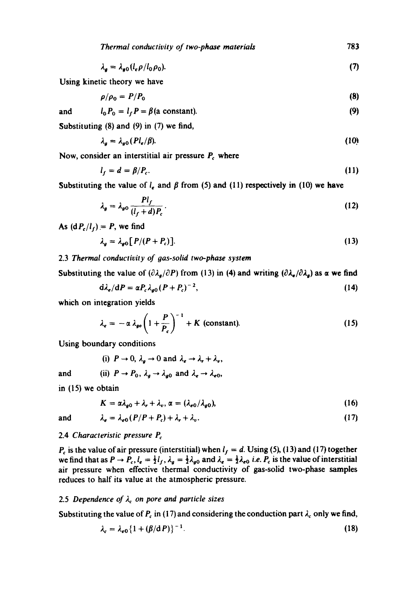*Thermal conductivity of two-phase materials*  783

$$
\lambda_g = \lambda_{g0} (l_e \rho / l_0 \rho_0). \tag{7}
$$

Using kinetic theory we have

$$
\rho/\rho_0 = P/P_0 \tag{8}
$$

**(9)** 

and  $l_0 P_0 = l_f P = \beta$  (a constant).

Substituting (8) and (9) in (7) we find,

$$
\lambda_g = \lambda_{g0} (Pl_e/\beta). \tag{10}
$$

Now, consider an interstitial air pressure  $P_c$  where

$$
l_f = d = \beta / P_c. \tag{11}
$$

Substituting the value of  $l_e$  and  $\beta$  from (5) and (11) respectively in (10) we have

$$
\lambda_g = \lambda_{g0} \frac{Pl_f}{(l_f + d)P_c} \,. \tag{12}
$$

As  $(dP_c/l_f) = P$ , we find

$$
\lambda_g = \lambda_{g0} [P/(P+P_c)]. \tag{13}
$$

# 2.3 *Thermal conductivity of gas-solid two-phase system*

Substituting the value of  $(\partial \lambda_{\alpha}/\partial P)$  from (13) in (4) and writing  $(\partial \lambda_{\alpha}/\partial \lambda_{\alpha})$  as  $\alpha$  we find

$$
\mathrm{d}\lambda_e/\mathrm{d}P = \alpha P_c \lambda_{g0} (P + P_c)^{-2},\tag{14}
$$

which on integration yields

$$
\lambda_e = -\alpha \lambda_{go} \left( 1 + \frac{P}{P_c} \right)^{-1} + K \text{ (constant)}.
$$
 (15)

Using boundary conditions

(i)  $P \to 0$ ,  $\lambda_q \to 0$  and  $\lambda_q \to \lambda_r + \lambda_q$ ,

and (ii) 
$$
P \rightarrow P_0
$$
,  $\lambda_g \rightarrow \lambda_{g0}$  and  $\lambda_e \rightarrow \lambda_{e0}$ ,

in (15) we obtain

$$
K = \alpha \lambda_{g0} + \lambda_r + \lambda_v, \alpha = (\lambda_{e0}/\lambda_{g0}), \qquad (16)
$$

and 
$$
\lambda_e = \lambda_{e0} (P/P + P_c) + \lambda_r + \lambda_v. \tag{17}
$$

### 2.4 *Characteristic pressure Pc*

 $P_c$  is the value of air pressure (interstitial) when  $l_f = d$ . Using (5), (13) and (17) together we find that as  $P \to P_c$ ,  $l_e = \frac{1}{2}l_f$ ,  $\lambda_g = \frac{1}{2}\lambda_{g0}$  and  $\lambda_e = \frac{1}{2}\lambda_{e0}$  *i.e.*  $P_c$  is the value of interstitial air pressure when effective thermal conductivity of gas-solid two-phase samples reduces to half its value at the atmospheric pressure.

# 2.5 Dependence of  $\lambda_c$  on pore and particle sizes

Substituting the value of  $P_c$  in (17) and considering the conduction part  $\lambda_c$  only we find,

$$
\lambda_c = \lambda_{e0} \left\{ 1 + (\beta/\mathrm{d}\,P) \right\}^{-1}.
$$
 (18)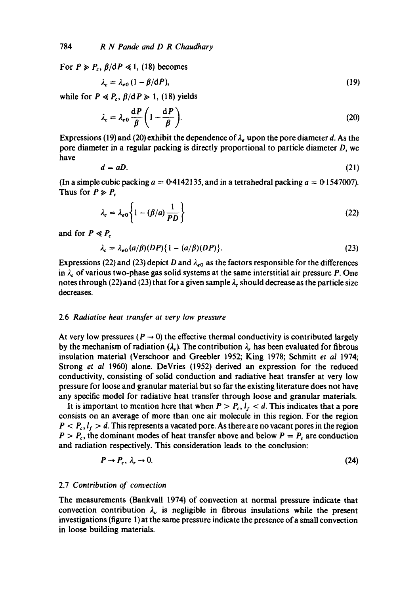For  $P \ge P_c$ ,  $\beta/dP \le 1$ , (18) becomes

$$
\lambda_c = \lambda_{e0} \left( 1 - \beta / dP \right),\tag{19}
$$

while for  $P \ll P_c$ ,  $\beta/dP \gg 1$ , (18) yields

$$
\lambda_c = \lambda_{e0} \frac{\mathrm{d}P}{\beta} \left( 1 - \frac{\mathrm{d}P}{\beta} \right). \tag{20}
$$

Expressions (19) and (20) exhibit the dependence of  $\lambda_e$  upon the pore diameter d. As the pore diameter in a regular packing is directly proportional to particle diameter D, we have

$$
d = aD. \tag{21}
$$

(In a simple cubic packing  $a = 0.4142135$ , and in a tetrahedral packing  $a = 0.1547007$ ). Thus for  $P \ge P_c$ 

$$
\lambda_c = \lambda_{e0} \left\{ 1 - (\beta/a) \frac{1}{PD} \right\} \tag{22}
$$

and for  $P \ll P_c$ 

$$
\lambda_c = \lambda_{e0}(a/\beta)(DP)\{1 - (a/\beta)(DP)\}.
$$
 (23)

Expressions (22) and (23) depict D and  $\lambda_{e0}$  as the factors responsible for the differences in  $\lambda_c$  of various two-phase gas solid systems at the same interstitial air pressure P. One notes through (22) and (23) that for a given sample  $\lambda_c$  should decrease as the particle size decreases.

#### 2.6 *Radiative heat transfer at very low pressure*

At very low pressures ( $P \rightarrow 0$ ) the effective thermal conductivity is contributed largely by the mechanism of radiation  $(\lambda_r)$ . The contribution  $\lambda_r$  has been evaluated for fibrous insulation material (Verschoor and Greebler 1952; King 1978; Schmitt *et ai* 1974; Strong *et al* 1960) alone. DeVries (1952) derived an expression for the reduced conductivity, consisting of solid conduction and radiative heat transfer at very low pressure for loose and granular material but so far the existing literature does not have any specific model for radiative heat transfer through loose and granular materials.

It is important to mention here that when  $P > P_c$ ,  $l_f < d$ . This indicates that a pore consists on an average of more than one air molecule in this region. For the region  $P < P_c, l_f > d$ . This represents a vacated pore. As there are no vacant pores in the region  $P > P_c$ , the dominant modes of heat transfer above and below  $P = P_c$  are conduction and radiation respectively. This consideration leads to the conclusion:

$$
P \to P_c, \ \lambda_r \to 0. \tag{24}
$$

# 2.7 *Contribution of convection*

The measurements (Bankvall 1974) of convection at normal pressure indicate that convection contribution  $\lambda_n$  is negligible in fibrous insulations while the present investigations (figure 1) at the same pressure indicate the presence of a small convection in loose building materials.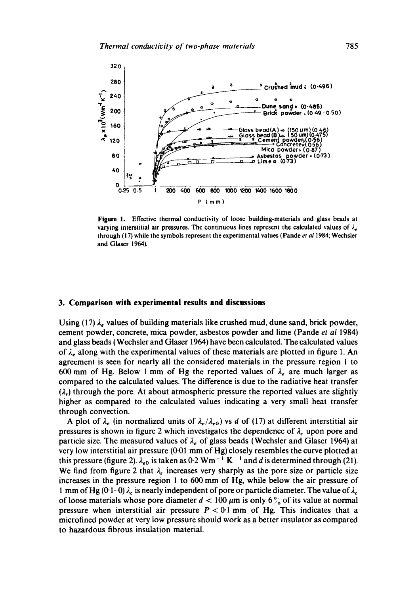

**Figure** 1. Effective thermal conductivity of loose building-materials and glass beads at varying interstitial air pressures. The continuous lines represent the calculated values of  $\lambda_e$ through (17) while the symbols represent the experimental values (Pande et *a11984;* Wechsler and Glaser 1964).

# **3. Comparison with experimental results and discussions**

Using (17)  $\lambda_e$  values of building materials like crushed mud, dune sand, brick powder, cement powder, concrete, mica powder, asbestos powder and lime (Pande *et al* 1984) and glass beads (Wechsler and Glaser 1964) have been calculated. The calculated values of  $\lambda_{\epsilon}$  along with the experimental values of these materials are plotted in figure 1. An agreement is seen for nearly all the considered materials in the pressure region 1 to 600 mm of Hg. Below 1 mm of Hg the reported values of  $\lambda_e$  are much larger as compared to the calculated values. The difference is due to the radiative heat transfer  $(\lambda)$ , through the pore. At about atmospheric pressure the reported values are slightly higher as compared to the calculated values indicating a very small heat transfer through convection.

A plot of  $\lambda_e$  (in normalized units of  $\lambda_e/\lambda_{e0}$ ) vs d of (17) at different interstitial air pressures is shown in figure 2 which investigates the dependence of  $\lambda_c$  upon pore and particle size. The measured values of  $\lambda_e$  of glass beads (Wechsler and Glaser 1964) at very low interstitial air pressure (0.01 mm of Hg) closely resembles the curve plotted at this pressure (figure 2).  $\lambda_{e0}$  is taken as 0.2 Wm<sup>-1</sup> K<sup>-1</sup> and d is determined through (21). We find from figure 2 that  $\lambda_c$  increases very sharply as the pore size or particle size increases in the pressure region 1 to 600 mm of Hg, while below the air pressure of 1 mm of Hg (0.1-0)  $\lambda_c$  is nearly independent of pore or particle diameter. The value of  $\lambda_c$ of loose materials whose pore diameter  $d < 100 \ \mu m$  is only 6% of its value at normal pressure when interstitial air pressure  $P < 0.1$  mm of Hg. This indicates that a microfined powder at very low pressure should work as a better insulator as compared to hazardous fibrous insulation material.